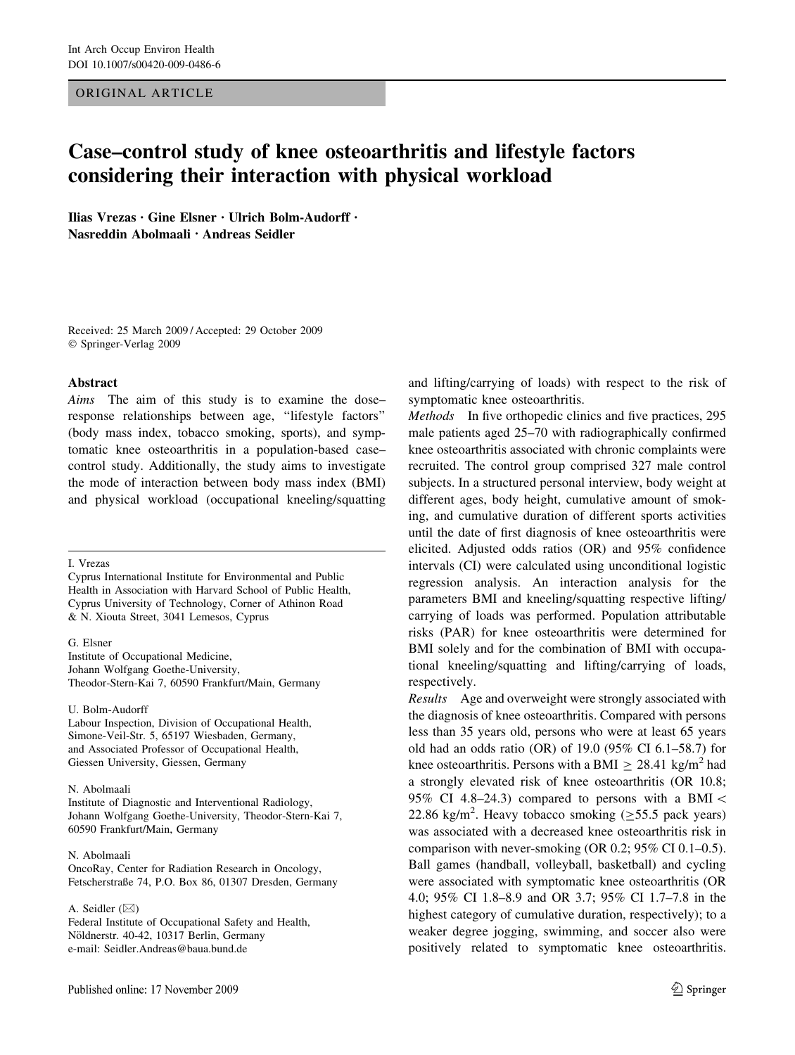# ORIGINAL ARTICLE

# Case–control study of knee osteoarthritis and lifestyle factors considering their interaction with physical workload

Ilias Vrezas • Gine Elsner • Ulrich Bolm-Audorff • Nasreddin Abolmaali • Andreas Seidler

Received: 25 March 2009 / Accepted: 29 October 2009 Springer-Verlag 2009

## Abstract

Aims The aim of this study is to examine the dose– response relationships between age, ''lifestyle factors'' (body mass index, tobacco smoking, sports), and symptomatic knee osteoarthritis in a population-based case– control study. Additionally, the study aims to investigate the mode of interaction between body mass index (BMI) and physical workload (occupational kneeling/squatting

#### I. Vrezas

Cyprus International Institute for Environmental and Public Health in Association with Harvard School of Public Health, Cyprus University of Technology, Corner of Athinon Road & N. Xiouta Street, 3041 Lemesos, Cyprus

G. Elsner Institute of Occupational Medicine, Johann Wolfgang Goethe-University, Theodor-Stern-Kai 7, 60590 Frankfurt/Main, Germany

U. Bolm-Audorff

Labour Inspection, Division of Occupational Health, Simone-Veil-Str. 5, 65197 Wiesbaden, Germany, and Associated Professor of Occupational Health, Giessen University, Giessen, Germany

## N. Abolmaali

Institute of Diagnostic and Interventional Radiology, Johann Wolfgang Goethe-University, Theodor-Stern-Kai 7, 60590 Frankfurt/Main, Germany

## N. Abolmaali

OncoRay, Center for Radiation Research in Oncology, Fetscherstraße 74, P.O. Box 86, 01307 Dresden, Germany

# A. Seidler  $(\boxtimes)$

Federal Institute of Occupational Safety and Health, Nöldnerstr. 40-42, 10317 Berlin, Germany e-mail: Seidler.Andreas@baua.bund.de

and lifting/carrying of loads) with respect to the risk of symptomatic knee osteoarthritis.

Methods In five orthopedic clinics and five practices, 295 male patients aged 25–70 with radiographically confirmed knee osteoarthritis associated with chronic complaints were recruited. The control group comprised 327 male control subjects. In a structured personal interview, body weight at different ages, body height, cumulative amount of smoking, and cumulative duration of different sports activities until the date of first diagnosis of knee osteoarthritis were elicited. Adjusted odds ratios (OR) and 95% confidence intervals (CI) were calculated using unconditional logistic regression analysis. An interaction analysis for the parameters BMI and kneeling/squatting respective lifting/ carrying of loads was performed. Population attributable risks (PAR) for knee osteoarthritis were determined for BMI solely and for the combination of BMI with occupational kneeling/squatting and lifting/carrying of loads, respectively.

Results Age and overweight were strongly associated with the diagnosis of knee osteoarthritis. Compared with persons less than 35 years old, persons who were at least 65 years old had an odds ratio (OR) of 19.0 (95% CI 6.1–58.7) for knee osteoarthritis. Persons with a BMI  $\geq 28.41$  kg/m<sup>2</sup> had a strongly elevated risk of knee osteoarthritis (OR 10.8; 95% CI 4.8–24.3) compared to persons with a BMI $\leq$ 22.86 kg/m<sup>2</sup>. Heavy tobacco smoking ( $\geq$ 55.5 pack years) was associated with a decreased knee osteoarthritis risk in comparison with never-smoking (OR 0.2; 95% CI 0.1–0.5). Ball games (handball, volleyball, basketball) and cycling were associated with symptomatic knee osteoarthritis (OR 4.0; 95% CI 1.8–8.9 and OR 3.7; 95% CI 1.7–7.8 in the highest category of cumulative duration, respectively); to a weaker degree jogging, swimming, and soccer also were positively related to symptomatic knee osteoarthritis.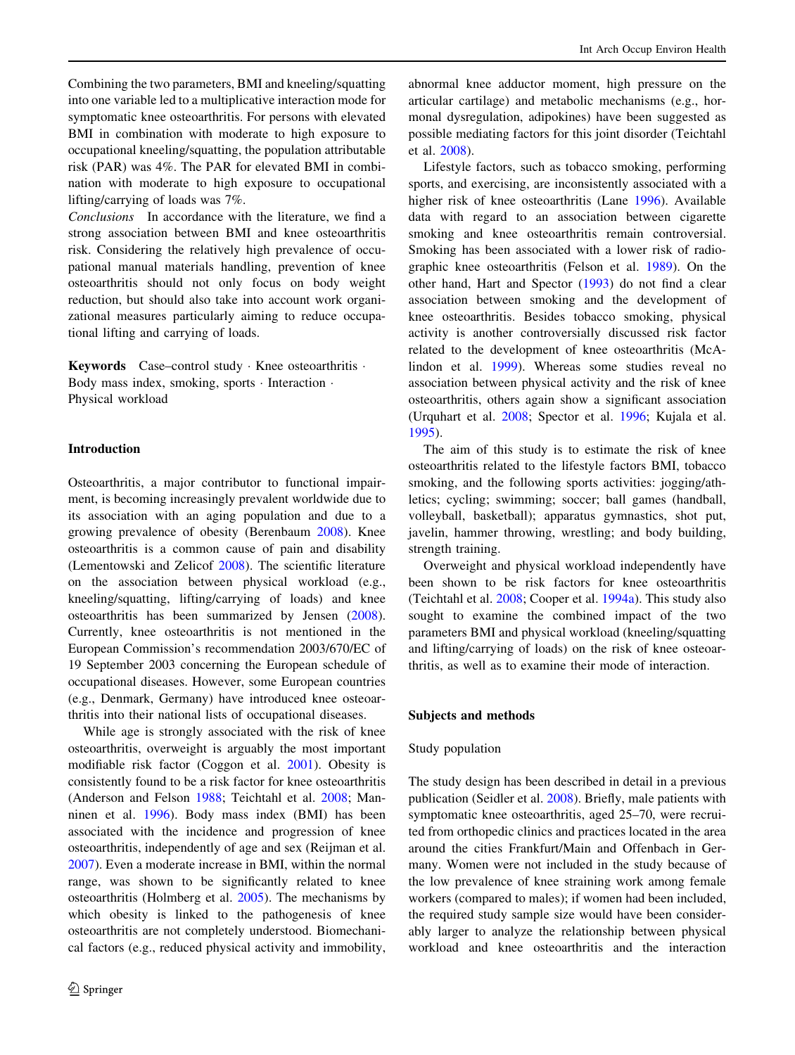Combining the two parameters, BMI and kneeling/squatting into one variable led to a multiplicative interaction mode for symptomatic knee osteoarthritis. For persons with elevated BMI in combination with moderate to high exposure to occupational kneeling/squatting, the population attributable risk (PAR) was 4%. The PAR for elevated BMI in combination with moderate to high exposure to occupational lifting/carrying of loads was 7%.

Conclusions In accordance with the literature, we find a strong association between BMI and knee osteoarthritis risk. Considering the relatively high prevalence of occupational manual materials handling, prevention of knee osteoarthritis should not only focus on body weight reduction, but should also take into account work organizational measures particularly aiming to reduce occupational lifting and carrying of loads.

**Keywords** Case–control study  $\cdot$  Knee osteoarthritis  $\cdot$ Body mass index, smoking, sports · Interaction · Physical workload

# Introduction

Osteoarthritis, a major contributor to functional impairment, is becoming increasingly prevalent worldwide due to its association with an aging population and due to a growing prevalence of obesity (Berenbaum [2008\)](#page-8-0). Knee osteoarthritis is a common cause of pain and disability (Lementowski and Zelicof [2008\)](#page-8-0). The scientific literature on the association between physical workload (e.g., kneeling/squatting, lifting/carrying of loads) and knee osteoarthritis has been summarized by Jensen [\(2008](#page-8-0)). Currently, knee osteoarthritis is not mentioned in the European Commission's recommendation 2003/670/EC of 19 September 2003 concerning the European schedule of occupational diseases. However, some European countries (e.g., Denmark, Germany) have introduced knee osteoarthritis into their national lists of occupational diseases.

While age is strongly associated with the risk of knee osteoarthritis, overweight is arguably the most important modifiable risk factor (Coggon et al. [2001](#page-8-0)). Obesity is consistently found to be a risk factor for knee osteoarthritis (Anderson and Felson [1988](#page-8-0); Teichtahl et al. [2008;](#page-9-0) Manninen et al. [1996](#page-8-0)). Body mass index (BMI) has been associated with the incidence and progression of knee osteoarthritis, independently of age and sex (Reijman et al. [2007\)](#page-8-0). Even a moderate increase in BMI, within the normal range, was shown to be significantly related to knee osteoarthritis (Holmberg et al. [2005\)](#page-8-0). The mechanisms by which obesity is linked to the pathogenesis of knee osteoarthritis are not completely understood. Biomechanical factors (e.g., reduced physical activity and immobility,

abnormal knee adductor moment, high pressure on the articular cartilage) and metabolic mechanisms (e.g., hormonal dysregulation, adipokines) have been suggested as possible mediating factors for this joint disorder (Teichtahl et al. [2008\)](#page-9-0).

Lifestyle factors, such as tobacco smoking, performing sports, and exercising, are inconsistently associated with a higher risk of knee osteoarthritis (Lane [1996](#page-8-0)). Available data with regard to an association between cigarette smoking and knee osteoarthritis remain controversial. Smoking has been associated with a lower risk of radiographic knee osteoarthritis (Felson et al. [1989](#page-8-0)). On the other hand, Hart and Spector ([1993\)](#page-8-0) do not find a clear association between smoking and the development of knee osteoarthritis. Besides tobacco smoking, physical activity is another controversially discussed risk factor related to the development of knee osteoarthritis (McAlindon et al. [1999\)](#page-8-0). Whereas some studies reveal no association between physical activity and the risk of knee osteoarthritis, others again show a significant association (Urquhart et al. [2008](#page-9-0); Spector et al. [1996](#page-9-0); Kujala et al. [1995](#page-8-0)).

The aim of this study is to estimate the risk of knee osteoarthritis related to the lifestyle factors BMI, tobacco smoking, and the following sports activities: jogging/athletics; cycling; swimming; soccer; ball games (handball, volleyball, basketball); apparatus gymnastics, shot put, javelin, hammer throwing, wrestling; and body building, strength training.

Overweight and physical workload independently have been shown to be risk factors for knee osteoarthritis (Teichtahl et al. [2008;](#page-9-0) Cooper et al. [1994a](#page-8-0)). This study also sought to examine the combined impact of the two parameters BMI and physical workload (kneeling/squatting and lifting/carrying of loads) on the risk of knee osteoarthritis, as well as to examine their mode of interaction.

### Subjects and methods

# Study population

The study design has been described in detail in a previous publication (Seidler et al. [2008\)](#page-9-0). Briefly, male patients with symptomatic knee osteoarthritis, aged 25–70, were recruited from orthopedic clinics and practices located in the area around the cities Frankfurt/Main and Offenbach in Germany. Women were not included in the study because of the low prevalence of knee straining work among female workers (compared to males); if women had been included, the required study sample size would have been considerably larger to analyze the relationship between physical workload and knee osteoarthritis and the interaction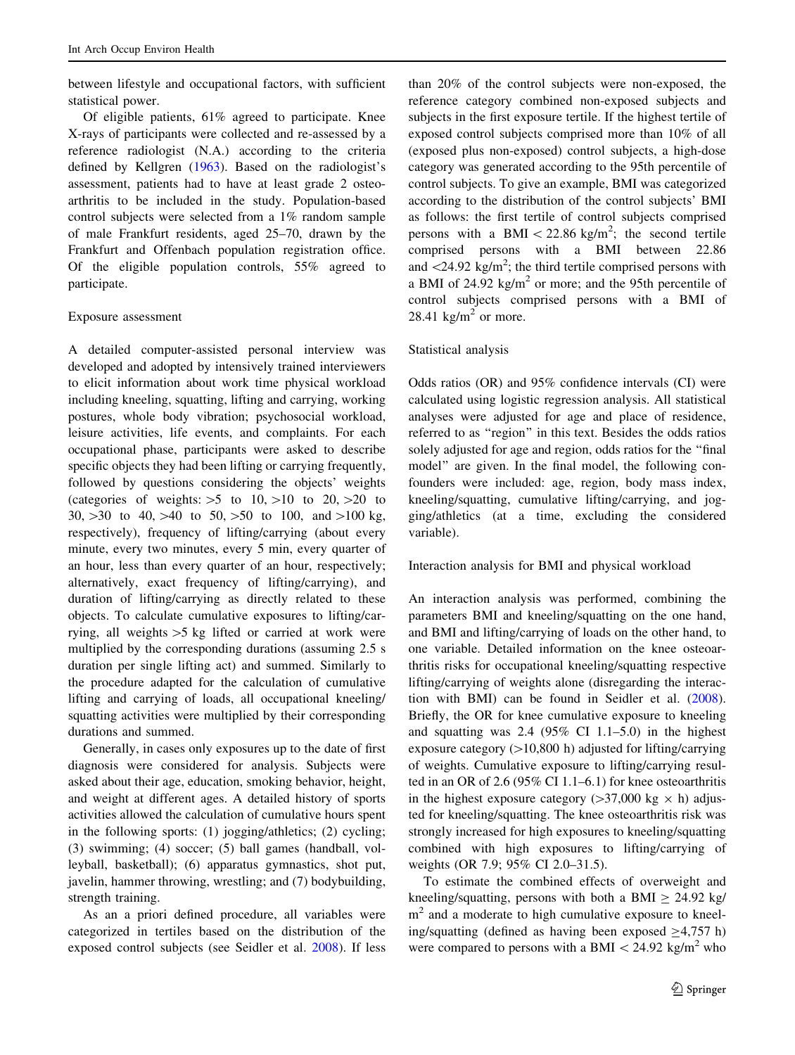between lifestyle and occupational factors, with sufficient statistical power.

Of eligible patients, 61% agreed to participate. Knee X-rays of participants were collected and re-assessed by a reference radiologist (N.A.) according to the criteria defined by Kellgren ([1963\)](#page-8-0). Based on the radiologist's assessment, patients had to have at least grade 2 osteoarthritis to be included in the study. Population-based control subjects were selected from a 1% random sample of male Frankfurt residents, aged 25–70, drawn by the Frankfurt and Offenbach population registration office. Of the eligible population controls, 55% agreed to participate.

# Exposure assessment

A detailed computer-assisted personal interview was developed and adopted by intensively trained interviewers to elicit information about work time physical workload including kneeling, squatting, lifting and carrying, working postures, whole body vibration; psychosocial workload, leisure activities, life events, and complaints. For each occupational phase, participants were asked to describe specific objects they had been lifting or carrying frequently, followed by questions considering the objects' weights (categories of weights:  $>5$  to 10,  $>10$  to 20,  $>20$  to 30,  $>30$  to 40,  $>40$  to 50,  $>50$  to 100, and  $>100$  kg, respectively), frequency of lifting/carrying (about every minute, every two minutes, every 5 min, every quarter of an hour, less than every quarter of an hour, respectively; alternatively, exact frequency of lifting/carrying), and duration of lifting/carrying as directly related to these objects. To calculate cumulative exposures to lifting/carrying, all weights  $>5$  kg lifted or carried at work were multiplied by the corresponding durations (assuming 2.5 s duration per single lifting act) and summed. Similarly to the procedure adapted for the calculation of cumulative lifting and carrying of loads, all occupational kneeling/ squatting activities were multiplied by their corresponding durations and summed.

Generally, in cases only exposures up to the date of first diagnosis were considered for analysis. Subjects were asked about their age, education, smoking behavior, height, and weight at different ages. A detailed history of sports activities allowed the calculation of cumulative hours spent in the following sports: (1) jogging/athletics; (2) cycling; (3) swimming; (4) soccer; (5) ball games (handball, volleyball, basketball); (6) apparatus gymnastics, shot put, javelin, hammer throwing, wrestling; and (7) bodybuilding, strength training.

As an a priori defined procedure, all variables were categorized in tertiles based on the distribution of the exposed control subjects (see Seidler et al. [2008\)](#page-9-0). If less

than 20% of the control subjects were non-exposed, the reference category combined non-exposed subjects and subjects in the first exposure tertile. If the highest tertile of exposed control subjects comprised more than 10% of all (exposed plus non-exposed) control subjects, a high-dose category was generated according to the 95th percentile of control subjects. To give an example, BMI was categorized according to the distribution of the control subjects' BMI as follows: the first tertile of control subjects comprised persons with a BMI < 22.86 kg/m<sup>2</sup>; the second tertile comprised persons with a BMI between 22.86 and  $\langle 24.92 \text{ kg/m}^2$ ; the third tertile comprised persons with a BMI of  $24.92 \text{ kg/m}^2$  or more; and the 95th percentile of control subjects comprised persons with a BMI of 28.41 kg/ $m^2$  or more.

# Statistical analysis

Odds ratios (OR) and 95% confidence intervals (CI) were calculated using logistic regression analysis. All statistical analyses were adjusted for age and place of residence, referred to as ''region'' in this text. Besides the odds ratios solely adjusted for age and region, odds ratios for the ''final model'' are given. In the final model, the following confounders were included: age, region, body mass index, kneeling/squatting, cumulative lifting/carrying, and jogging/athletics (at a time, excluding the considered variable).

# Interaction analysis for BMI and physical workload

An interaction analysis was performed, combining the parameters BMI and kneeling/squatting on the one hand, and BMI and lifting/carrying of loads on the other hand, to one variable. Detailed information on the knee osteoarthritis risks for occupational kneeling/squatting respective lifting/carrying of weights alone (disregarding the interaction with BMI) can be found in Seidler et al. [\(2008](#page-9-0)). Briefly, the OR for knee cumulative exposure to kneeling and squatting was 2.4 (95% CI 1.1–5.0) in the highest exposure category  $(>10,800 \text{ h})$  adjusted for lifting/carrying of weights. Cumulative exposure to lifting/carrying resulted in an OR of 2.6 (95% CI 1.1–6.1) for knee osteoarthritis in the highest exposure category ( $>37,000$  kg  $\times$  h) adjusted for kneeling/squatting. The knee osteoarthritis risk was strongly increased for high exposures to kneeling/squatting combined with high exposures to lifting/carrying of weights (OR 7.9; 95% CI 2.0–31.5).

To estimate the combined effects of overweight and kneeling/squatting, persons with both a BMI  $\geq$  24.92 kg/  $m<sup>2</sup>$  and a moderate to high cumulative exposure to kneeling/squatting (defined as having been exposed  $\geq$ 4,757 h) were compared to persons with a BMI  $\langle 24.92 \text{ kg/m}^2 \text{ who} \rangle$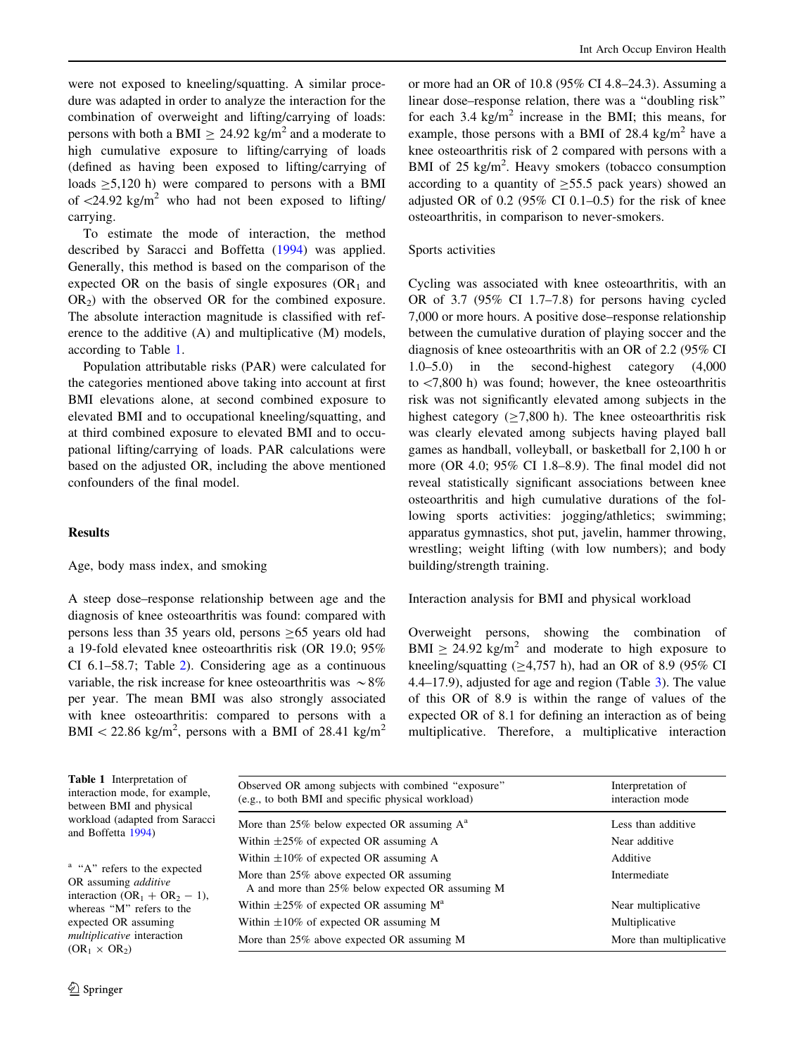were not exposed to kneeling/squatting. A similar procedure was adapted in order to analyze the interaction for the combination of overweight and lifting/carrying of loads: persons with both a BMI  $> 24.92$  kg/m<sup>2</sup> and a moderate to high cumulative exposure to lifting/carrying of loads (defined as having been exposed to lifting/carrying of loads  $\geq 5,120$  h) were compared to persons with a BMI of  $\langle 24.92 \text{ kg/m}^2$  who had not been exposed to lifting/ carrying.

To estimate the mode of interaction, the method described by Saracci and Boffetta [\(1994](#page-9-0)) was applied. Generally, this method is based on the comparison of the expected OR on the basis of single exposures  $(OR_1$  and  $OR<sub>2</sub>$ ) with the observed OR for the combined exposure. The absolute interaction magnitude is classified with reference to the additive (A) and multiplicative (M) models, according to Table 1.

Population attributable risks (PAR) were calculated for the categories mentioned above taking into account at first BMI elevations alone, at second combined exposure to elevated BMI and to occupational kneeling/squatting, and at third combined exposure to elevated BMI and to occupational lifting/carrying of loads. PAR calculations were based on the adjusted OR, including the above mentioned confounders of the final model.

# Results

Age, body mass index, and smoking

A steep dose–response relationship between age and the diagnosis of knee osteoarthritis was found: compared with persons less than 35 years old, persons  $>65$  years old had a 19-fold elevated knee osteoarthritis risk (OR 19.0; 95% CI 6.1–58.7; Table [2\)](#page-4-0). Considering age as a continuous variable, the risk increase for knee osteoarthritis was  $\sim 8\%$ per year. The mean BMI was also strongly associated with knee osteoarthritis: compared to persons with a BMI  $\langle 22.86 \text{ kg/m}^2$ , persons with a BMI of 28.41 kg/m<sup>2</sup>

or more had an OR of 10.8 (95% CI 4.8–24.3). Assuming a linear dose–response relation, there was a ''doubling risk'' for each  $3.4 \text{ kg/m}^2$  increase in the BMI; this means, for example, those persons with a BMI of  $28.4 \text{ kg/m}^2$  have a knee osteoarthritis risk of 2 compared with persons with a BMI of 25 kg/m<sup>2</sup>. Heavy smokers (tobacco consumption according to a quantity of  $\geq 55.5$  pack years) showed an adjusted OR of  $0.2$  (95% CI 0.1–0.5) for the risk of knee osteoarthritis, in comparison to never-smokers.

# Sports activities

Cycling was associated with knee osteoarthritis, with an OR of 3.7 (95% CI 1.7–7.8) for persons having cycled 7,000 or more hours. A positive dose–response relationship between the cumulative duration of playing soccer and the diagnosis of knee osteoarthritis with an OR of 2.2 (95% CI 1.0–5.0) in the second-highest category (4,000 to  $\langle7,800 \text{ h}\rangle$  was found; however, the knee osteoarthritis risk was not significantly elevated among subjects in the highest category  $(27,800 \text{ h})$ . The knee osteoarthritis risk was clearly elevated among subjects having played ball games as handball, volleyball, or basketball for 2,100 h or more (OR 4.0; 95% CI 1.8–8.9). The final model did not reveal statistically significant associations between knee osteoarthritis and high cumulative durations of the following sports activities: jogging/athletics; swimming; apparatus gymnastics, shot put, javelin, hammer throwing, wrestling; weight lifting (with low numbers); and body building/strength training.

Interaction analysis for BMI and physical workload

Overweight persons, showing the combination of BMI  $\geq$  24.92 kg/m<sup>2</sup> and moderate to high exposure to kneeling/squatting ( $\geq$ 4,757 h), had an OR of 8.9 (95% CI 4.4–17.9), adjusted for age and region (Table [3\)](#page-5-0). The value of this OR of 8.9 is within the range of values of the expected OR of 8.1 for defining an interaction as of being multiplicative. Therefore, a multiplicative interaction

| <b>Table 1</b> Interpretation of<br>interaction mode, for example,<br>between BMI and physical | Observed OR among subjects with combined "exposure"<br>(e.g., to both BMI and specific physical workload) | Interpretation of<br>interaction mode |  |  |
|------------------------------------------------------------------------------------------------|-----------------------------------------------------------------------------------------------------------|---------------------------------------|--|--|
| workload (adapted from Saracci<br>and Boffetta 1994)                                           | More than 25% below expected OR assuming $A^a$                                                            | Less than additive                    |  |  |
|                                                                                                | Within $\pm 25\%$ of expected OR assuming A                                                               | Near additive                         |  |  |
| <sup>a</sup> "A" refers to the expected<br>OR assuming <i>additive</i>                         | Within $\pm 10\%$ of expected OR assuming A                                                               | Additive                              |  |  |
|                                                                                                | More than 25% above expected OR assuming<br>A and more than 25% below expected OR assuming M              | Intermediate                          |  |  |
| interaction $(OR_1 + OR_2 - 1)$ ,<br>whereas "M" refers to the                                 | Within $\pm 25\%$ of expected OR assuming $M^a$                                                           | Near multiplicative                   |  |  |
| expected OR assuming                                                                           | Within $\pm 10\%$ of expected OR assuming M                                                               | Multiplicative                        |  |  |
| <i>multiplicative</i> interaction<br>$(OR_1 \times OR_2)$                                      | More than 25% above expected OR assuming M                                                                | More than multiplicative              |  |  |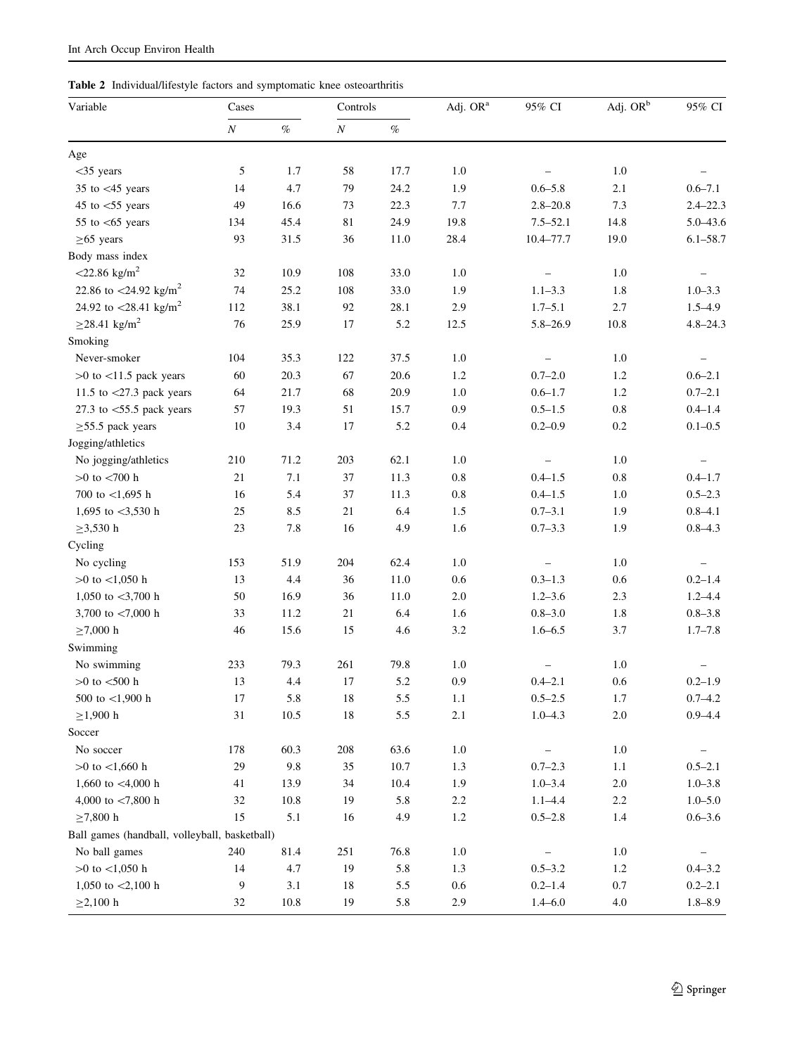<span id="page-4-0"></span>Table 2 Individual/lifestyle factors and symptomatic knee osteoarthritis

| Variable                                      | Cases    |          | Controls    |      | Adj. OR <sup>a</sup> | 95% CI            | Adj. $ORb$ | 95% CI       |  |
|-----------------------------------------------|----------|----------|-------------|------|----------------------|-------------------|------------|--------------|--|
|                                               | $\cal N$ | $\%$     | $\cal N$    | $\%$ |                      |                   |            |              |  |
| Age                                           |          |          |             |      |                      |                   |            |              |  |
| $<$ 35 years                                  | 5        | 1.7      | 58          | 17.7 | 1.0                  |                   | 1.0        |              |  |
| 35 to $<$ 45 years                            | 14       | 4.7      | 79          | 24.2 | 1.9                  | $0.6 - 5.8$       | 2.1        | $0.6 - 7.1$  |  |
| 45 to $<$ 55 years                            | 49       | 16.6     | 73          | 22.3 | 7.7                  | $2.8 - 20.8$      | 7.3        | $2.4 - 22.3$ |  |
| 55 to $<$ 65 years                            | 134      | 45.4     | $8\sqrt{1}$ | 24.9 | 19.8                 | $7.5 - 52.1$      | 14.8       | $5.0 - 43.6$ |  |
| $\geq 65$ years                               | 93       | 31.5     | 36          | 11.0 | 28.4                 | 10.4-77.7         | 19.0       | $6.1 - 58.7$ |  |
| Body mass index                               |          |          |             |      |                      |                   |            |              |  |
| $<$ 22.86 kg/m <sup>2</sup>                   | 32       | 10.9     | 108         | 33.0 | 1.0                  |                   | 1.0        |              |  |
| 22.86 to $\langle 24.92 \text{ kg/m}^2$       | 74       | 25.2     | 108         | 33.0 | 1.9                  | $1.1 - 3.3$       | 1.8        | $1.0 - 3.3$  |  |
| 24.92 to $\langle 28.41 \text{ kg/m}^2$       | 112      | 38.1     | 92          | 28.1 | $2.9\,$              | $1.7 - 5.1$       | 2.7        | $1.5 - 4.9$  |  |
| $\geq$ 28.41 kg/m <sup>2</sup>                | 76       | 25.9     | 17          | 5.2  | 12.5                 | $5.8 - 26.9$      | 10.8       | $4.8 - 24.3$ |  |
| Smoking                                       |          |          |             |      |                      |                   |            |              |  |
| Never-smoker                                  | 104      | 35.3     | 122         | 37.5 | 1.0                  |                   | 1.0        |              |  |
| $>0$ to $<$ 11.5 pack years                   | 60       | 20.3     | 67          | 20.6 | 1.2                  | $0.7 - 2.0$       | 1.2        | $0.6 - 2.1$  |  |
| 11.5 to $\langle 27.3 \rangle$ pack years     | 64       | 21.7     | 68          | 20.9 | 1.0                  | $0.6 - 1.7$       | 1.2        | $0.7 - 2.1$  |  |
| 27.3 to $<$ 55.5 pack years                   | 57       | 19.3     | 51          | 15.7 | 0.9                  | $0.5 - 1.5$       | $0.8\,$    | $0.4 - 1.4$  |  |
| $\geq$ 55.5 pack years                        | 10       | 3.4      | 17          | 5.2  | $0.4\,$              | $0.2 - 0.9$       | 0.2        | $0.1 - 0.5$  |  |
| Jogging/athletics                             |          |          |             |      |                      |                   |            |              |  |
| No jogging/athletics                          | 210      | 71.2     | 203         | 62.1 | 1.0                  |                   | 1.0        |              |  |
| $>0$ to $< 700$ h                             | 21       | 7.1      | 37          | 11.3 | $0.8\,$              | $0.4 - 1.5$       | 0.8        | $0.4 - 1.7$  |  |
| 700 to $<$ 1,695 h                            | 16       | 5.4      | 37          | 11.3 | $0.8\,$              | $0.4 - 1.5$       | 1.0        | $0.5 - 2.3$  |  |
| 1,695 to $<$ 3,530 h                          | 25       | 8.5      | 21          | 6.4  | $1.5\,$              | $0.7 - 3.1$       | 1.9        | $0.8 - 4.1$  |  |
| $\geq$ 3,530 h                                | 23       | 7.8      | 16          | 4.9  | 1.6                  | $0.7 - 3.3$       | 1.9        | $0.8 - 4.3$  |  |
| Cycling                                       |          |          |             |      |                      |                   |            |              |  |
| No cycling                                    | 153      | 51.9     | 204         | 62.4 | 1.0                  |                   | 1.0        |              |  |
| $>0$ to $<$ 1,050 h                           | 13       | 4.4      | 36          | 11.0 | 0.6                  | $0.3 - 1.3$       | 0.6        | $0.2 - 1.4$  |  |
| 1,050 to $<$ 3,700 h                          | 50       | 16.9     | 36          | 11.0 | 2.0                  | $1.2 - 3.6$       | 2.3        | $1.2 - 4.4$  |  |
| 3,700 to <7,000 h                             | 33       | 11.2     | 21          | 6.4  | 1.6                  | $0.8 - 3.0$       | 1.8        | $0.8 - 3.8$  |  |
| $\geq$ 7,000 h                                | 46       | 15.6     | 15          | 4.6  | $3.2\,$              | $1.6 - 6.5$       | 3.7        | $1.7 - 7.8$  |  |
| Swimming                                      |          |          |             |      |                      |                   |            |              |  |
| No swimming                                   | 233      | 79.3     | 261         | 79.8 | 1.0                  |                   | 1.0        |              |  |
| $>0$ to $<$ 500 h                             | 13       | 4.4      | 17          | 5.2  | 0.9                  | $0.4 - 2.1$       | 0.6        | $0.2 - 1.9$  |  |
| 500 to $<$ 1,900 h                            | $17\,$   | 5.8      | $18\,$      | 5.5  | $1.1\,$              | $0.5 - 2.5$       | $1.7\,$    | $0.7 - 4.2$  |  |
| $\geq$ 1,900 h                                | $31\,$   | 10.5     | $18\,$      | 5.5  | $2.1\,$              | $1.0 - 4.3$       | 2.0        | $0.9 - 4.4$  |  |
| Soccer                                        |          |          |             |      |                      |                   |            |              |  |
| No soccer                                     | 178      | 60.3     | 208         | 63.6 | $1.0\,$              | $\qquad \qquad -$ | $1.0\,$    |              |  |
| $>0$ to $<$ 1,660 h                           | 29       | 9.8      | 35          | 10.7 | 1.3                  | $0.7 - 2.3$       | $1.1\,$    | $0.5 - 2.1$  |  |
| 1,660 to <4,000 h                             | $41\,$   | 13.9     | 34          | 10.4 | 1.9                  | $1.0 - 3.4$       | $2.0\,$    | $1.0 - 3.8$  |  |
| 4,000 to $< 7,800$ h                          | $32\,$   | $10.8\,$ | 19          | 5.8  | $2.2\,$              | $1.1 - 4.4$       | $2.2\,$    | $1.0 - 5.0$  |  |
| $>7,800$ h                                    | 15       | 5.1      | 16          | 4.9  | $1.2\,$              | $0.5 - 2.8$       | 1.4        | $0.6 - 3.6$  |  |
| Ball games (handball, volleyball, basketball) |          |          |             |      |                      |                   |            |              |  |
| No ball games                                 | 240      | 81.4     | 251         | 76.8 | $1.0\,$              |                   | 1.0        |              |  |
| $>0$ to $<\!\!1,\!050$ h                      | 14       | 4.7      | 19          | 5.8  | 1.3                  | $0.5 - 3.2$       | 1.2        | $0.4 - 3.2$  |  |
| 1,050 to $<$ 2,100 h                          | 9        | 3.1      | 18          | 5.5  | 0.6                  | $0.2 - 1.4$       | 0.7        | $0.2 - 2.1$  |  |
| $\geq$ 2,100 h                                | 32       | 10.8     | 19          | 5.8  | 2.9                  | $1.4 - 6.0$       | 4.0        | $1.8 - 8.9$  |  |
|                                               |          |          |             |      |                      |                   |            |              |  |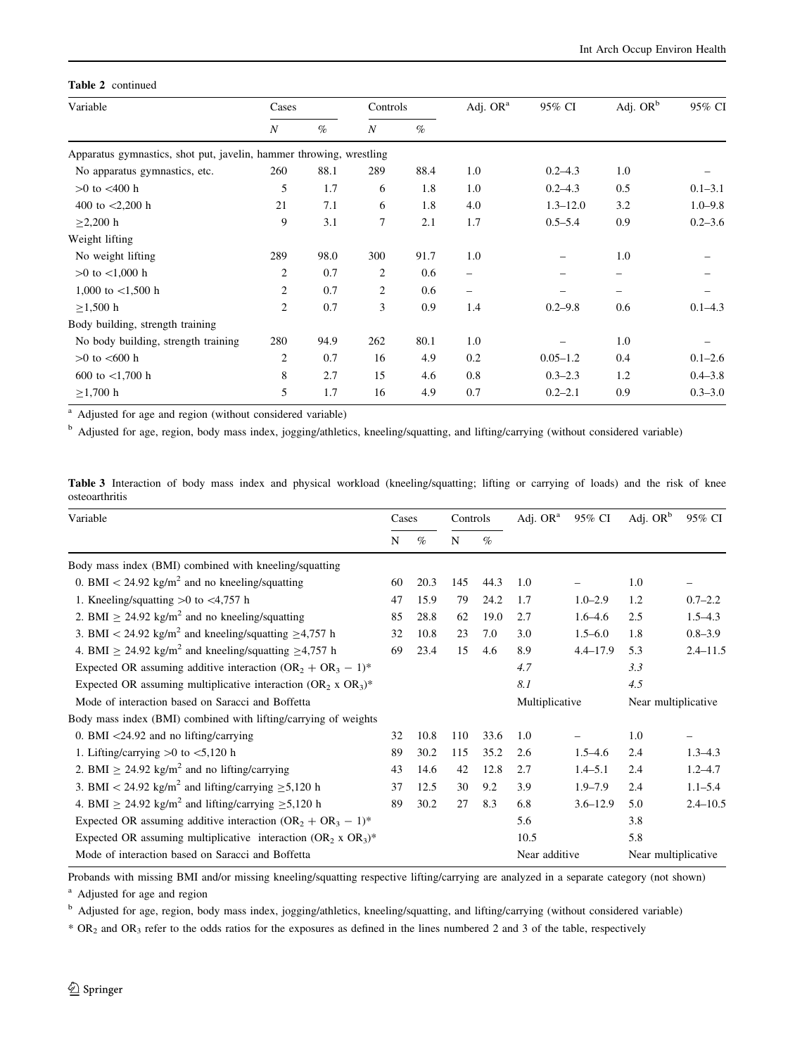<span id="page-5-0"></span>Table 2 continued

| Variable                                                            | Cases            |      |                  | Controls | Adj. $ORa$ | 95% CI       | Adj. OR <sup>b</sup> | 95% CI      |  |
|---------------------------------------------------------------------|------------------|------|------------------|----------|------------|--------------|----------------------|-------------|--|
|                                                                     | $\boldsymbol{N}$ | $\%$ | $\boldsymbol{N}$ | $\%$     |            |              |                      |             |  |
| Apparatus gymnastics, shot put, javelin, hammer throwing, wrestling |                  |      |                  |          |            |              |                      |             |  |
| No apparatus gymnastics, etc.                                       | 260              | 88.1 | 289              | 88.4     | 1.0        | $0.2 - 4.3$  | 1.0                  |             |  |
| $>0$ to $<$ 400 h                                                   | 5                | 1.7  | 6                | 1.8      | 1.0        | $0.2 - 4.3$  | 0.5                  | $0.1 - 3.1$ |  |
| 400 to $<$ 2,200 h                                                  | 21               | 7.1  | 6                | 1.8      | 4.0        | $1.3 - 12.0$ | 3.2                  | $1.0 - 9.8$ |  |
| $\geq$ 2,200 h                                                      | 9                | 3.1  | 7                | 2.1      | 1.7        | $0.5 - 5.4$  | 0.9                  | $0.2 - 3.6$ |  |
| Weight lifting                                                      |                  |      |                  |          |            |              |                      |             |  |
| No weight lifting                                                   | 289              | 98.0 | 300              | 91.7     | 1.0        |              | 1.0                  |             |  |
| $>0$ to $< 1,000$ h                                                 | 2                | 0.7  | $\overline{2}$   | 0.6      | -          |              |                      |             |  |
| 1,000 to $<$ 1,500 h                                                | 2                | 0.7  | 2                | 0.6      |            |              |                      |             |  |
| $\geq$ 1,500 h                                                      | $\overline{c}$   | 0.7  | 3                | 0.9      | 1.4        | $0.2 - 9.8$  | 0.6                  | $0.1 - 4.3$ |  |
| Body building, strength training                                    |                  |      |                  |          |            |              |                      |             |  |
| No body building, strength training                                 | 280              | 94.9 | 262              | 80.1     | 1.0        |              | 1.0                  |             |  |
| $>0$ to $< 600$ h                                                   | 2                | 0.7  | 16               | 4.9      | 0.2        | $0.05 - 1.2$ | 0.4                  | $0.1 - 2.6$ |  |
| 600 to $<$ 1,700 h                                                  | 8                | 2.7  | 15               | 4.6      | 0.8        | $0.3 - 2.3$  | 1.2                  | $0.4 - 3.8$ |  |
| $>1,700$ h                                                          | 5                | 1.7  | 16               | 4.9      | 0.7        | $0.2 - 2.1$  | 0.9                  | $0.3 - 3.0$ |  |

<sup>a</sup> Adjusted for age and region (without considered variable)

<sup>b</sup> Adjusted for age, region, body mass index, jogging/athletics, kneeling/squatting, and lifting/carrying (without considered variable)

|                |  |  |  |  | Table 3 Interaction of body mass index and physical workload (kneeling/squatting; lifting or carrying of loads) and the risk of knee |  |  |  |  |  |
|----------------|--|--|--|--|--------------------------------------------------------------------------------------------------------------------------------------|--|--|--|--|--|
| osteoarthritis |  |  |  |  |                                                                                                                                      |  |  |  |  |  |

| Variable                                                                    |    | Cases | Controls |      | Adj. OR <sup>a</sup> | 95% CI              | Adj. $ORb$          | 95% CI       |  |
|-----------------------------------------------------------------------------|----|-------|----------|------|----------------------|---------------------|---------------------|--------------|--|
|                                                                             | N  | $\%$  | N        | $\%$ |                      |                     |                     |              |  |
| Body mass index (BMI) combined with kneeling/squatting                      |    |       |          |      |                      |                     |                     |              |  |
| 0. BMI $<$ 24.92 kg/m <sup>2</sup> and no kneeling/squatting                | 60 | 20.3  | 145      | 44.3 | 1.0                  |                     | 1.0                 |              |  |
| 1. Kneeling/squatting $>0$ to <4,757 h                                      | 47 | 15.9  | 79       | 24.2 | 1.7                  | $1.0 - 2.9$         | 1.2                 | $0.7 - 2.2$  |  |
| 2. BMI $\geq$ 24.92 kg/m <sup>2</sup> and no kneeling/squatting             | 85 | 28.8  | 62       | 19.0 | 2.7                  | $1.6 - 4.6$         | 2.5                 | $1.5 - 4.3$  |  |
| 3. BMI < 24.92 kg/m <sup>2</sup> and kneeling/squatting $\geq$ 4,757 h      | 32 | 10.8  | 23       | 7.0  | 3.0                  | $1.5 - 6.0$         | 1.8                 | $0.8 - 3.9$  |  |
| 4. BMI $\geq$ 24.92 kg/m <sup>2</sup> and kneeling/squatting $\geq$ 4,757 h | 69 | 23.4  | 15       | 4.6  | 8.9                  | $4.4 - 17.9$        | 5.3                 | $2.4 - 11.5$ |  |
| Expected OR assuming additive interaction $(OR_2 + OR_3 - 1)^*$             |    |       |          |      | 4.7                  |                     | 3.3                 |              |  |
| Expected OR assuming multiplicative interaction $(OR_2 \times OR_3)^*$      |    |       |          |      | 8.1                  |                     | 4.5                 |              |  |
| Mode of interaction based on Saracci and Boffetta                           |    |       |          |      | Multiplicative       | Near multiplicative |                     |              |  |
| Body mass index (BMI) combined with lifting/carrying of weights             |    |       |          |      |                      |                     |                     |              |  |
| 0. BMI $\langle 24.92 \rangle$ and no lifting/carrying                      | 32 | 10.8  | 110      | 33.6 | 1.0                  |                     | 1.0                 |              |  |
| 1. Lifting/carrying $>0$ to $<$ 5,120 h                                     | 89 | 30.2  | 115      | 35.2 | 2.6                  | $1.5 - 4.6$         | 2.4                 | $1.3 - 4.3$  |  |
| 2. BMI $\geq$ 24.92 kg/m <sup>2</sup> and no lifting/carrying               | 43 | 14.6  | 42       | 12.8 | 2.7                  | $1.4 - 5.1$         | 2.4                 | $1.2 - 4.7$  |  |
| 3. BMI < 24.92 kg/m <sup>2</sup> and lifting/carrying $\geq$ 5,120 h        | 37 | 12.5  | 30       | 9.2  | 3.9                  | $1.9 - 7.9$         | 2.4                 | $1.1 - 5.4$  |  |
| 4. BMI $\geq$ 24.92 kg/m <sup>2</sup> and lifting/carrying $\geq$ 5,120 h   | 89 | 30.2  | 27       | 8.3  | 6.8                  | $3.6 - 12.9$        | 5.0                 | $2.4 - 10.5$ |  |
| Expected OR assuming additive interaction $(OR_2 + OR_3 - 1)^*$             |    |       |          |      | 5.6                  |                     | 3.8                 |              |  |
| Expected OR assuming multiplicative interaction $(OR_2 \times OR_3)^*$      |    |       |          |      | 10.5                 |                     | 5.8                 |              |  |
| Mode of interaction based on Saracci and Boffetta                           |    |       |          |      | Near additive        |                     | Near multiplicative |              |  |

Probands with missing BMI and/or missing kneeling/squatting respective lifting/carrying are analyzed in a separate category (not shown) <sup>a</sup> Adjusted for age and region

<sup>b</sup> Adjusted for age, region, body mass index, jogging/athletics, kneeling/squatting, and lifting/carrying (without considered variable)

 $*$  OR<sub>2</sub> and OR<sub>3</sub> refer to the odds ratios for the exposures as defined in the lines numbered 2 and 3 of the table, respectively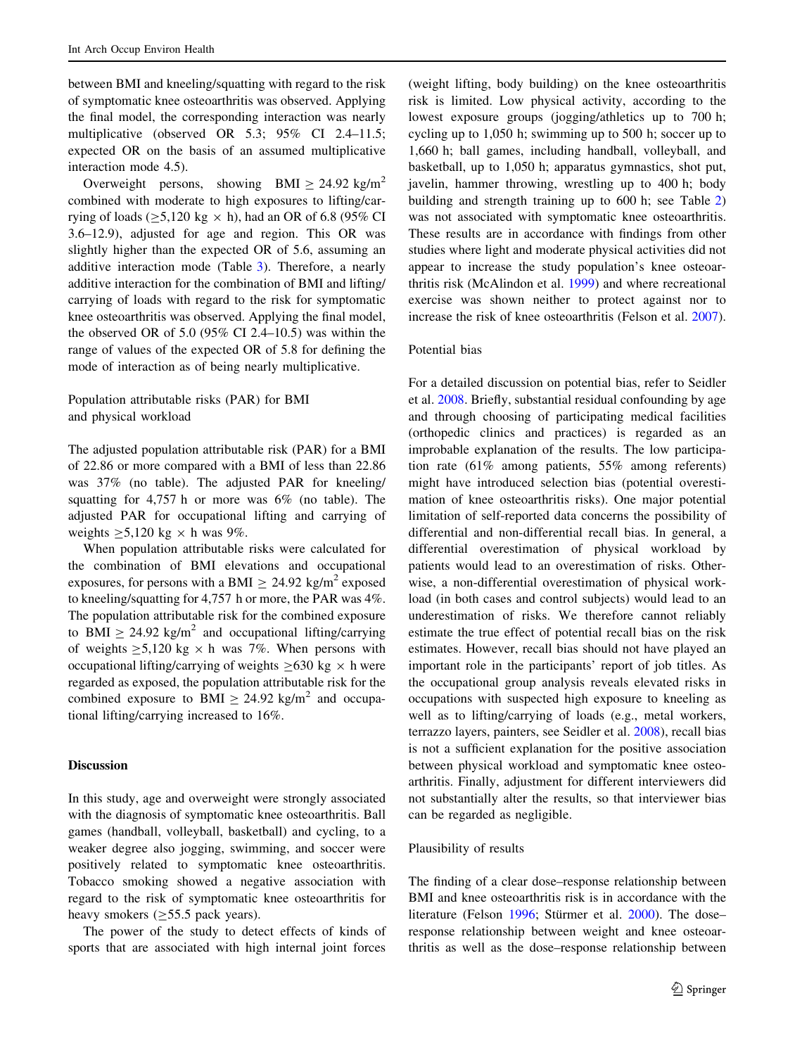between BMI and kneeling/squatting with regard to the risk of symptomatic knee osteoarthritis was observed. Applying the final model, the corresponding interaction was nearly multiplicative (observed OR 5.3; 95% CI 2.4–11.5; expected OR on the basis of an assumed multiplicative interaction mode 4.5).

Overweight persons, showing BMI  $\geq 24.92$  kg/m<sup>2</sup> combined with moderate to high exposures to lifting/carrying of loads ( $\geq$ 5,120 kg  $\times$  h), had an OR of 6.8 (95% CI 3.6–12.9), adjusted for age and region. This OR was slightly higher than the expected OR of 5.6, assuming an additive interaction mode (Table [3](#page-5-0)). Therefore, a nearly additive interaction for the combination of BMI and lifting/ carrying of loads with regard to the risk for symptomatic knee osteoarthritis was observed. Applying the final model, the observed OR of 5.0 (95% CI 2.4–10.5) was within the range of values of the expected OR of 5.8 for defining the mode of interaction as of being nearly multiplicative.

Population attributable risks (PAR) for BMI and physical workload

The adjusted population attributable risk (PAR) for a BMI of 22.86 or more compared with a BMI of less than 22.86 was 37% (no table). The adjusted PAR for kneeling/ squatting for 4,757 h or more was 6% (no table). The adjusted PAR for occupational lifting and carrying of weights  $>5,120$  kg  $\times$  h was 9%.

When population attributable risks were calculated for the combination of BMI elevations and occupational exposures, for persons with a BMI  $\geq 24.92$  kg/m<sup>2</sup> exposed to kneeling/squatting for 4,757 h or more, the PAR was 4%. The population attributable risk for the combined exposure to BMI  $\geq 24.92$  kg/m<sup>2</sup> and occupational lifting/carrying of weights  $>5,120 \text{ kg} \times \text{h}$  was 7%. When persons with occupational lifting/carrying of weights  $>630$  kg  $\times$  h were regarded as exposed, the population attributable risk for the combined exposure to BMI  $\geq 24.92$  kg/m<sup>2</sup> and occupational lifting/carrying increased to 16%.

# Discussion

In this study, age and overweight were strongly associated with the diagnosis of symptomatic knee osteoarthritis. Ball games (handball, volleyball, basketball) and cycling, to a weaker degree also jogging, swimming, and soccer were positively related to symptomatic knee osteoarthritis. Tobacco smoking showed a negative association with regard to the risk of symptomatic knee osteoarthritis for heavy smokers  $($ >55.5 pack years).

The power of the study to detect effects of kinds of sports that are associated with high internal joint forces

(weight lifting, body building) on the knee osteoarthritis risk is limited. Low physical activity, according to the lowest exposure groups (jogging/athletics up to 700 h; cycling up to 1,050 h; swimming up to 500 h; soccer up to 1,660 h; ball games, including handball, volleyball, and basketball, up to 1,050 h; apparatus gymnastics, shot put, javelin, hammer throwing, wrestling up to 400 h; body building and strength training up to 600 h; see Table [2\)](#page-4-0) was not associated with symptomatic knee osteoarthritis. These results are in accordance with findings from other studies where light and moderate physical activities did not appear to increase the study population's knee osteoarthritis risk (McAlindon et al. [1999\)](#page-8-0) and where recreational exercise was shown neither to protect against nor to increase the risk of knee osteoarthritis (Felson et al. [2007](#page-8-0)).

# Potential bias

For a detailed discussion on potential bias, refer to Seidler et al. [2008.](#page-9-0) Briefly, substantial residual confounding by age and through choosing of participating medical facilities (orthopedic clinics and practices) is regarded as an improbable explanation of the results. The low participation rate (61% among patients, 55% among referents) might have introduced selection bias (potential overestimation of knee osteoarthritis risks). One major potential limitation of self-reported data concerns the possibility of differential and non-differential recall bias. In general, a differential overestimation of physical workload by patients would lead to an overestimation of risks. Otherwise, a non-differential overestimation of physical workload (in both cases and control subjects) would lead to an underestimation of risks. We therefore cannot reliably estimate the true effect of potential recall bias on the risk estimates. However, recall bias should not have played an important role in the participants' report of job titles. As the occupational group analysis reveals elevated risks in occupations with suspected high exposure to kneeling as well as to lifting/carrying of loads (e.g., metal workers, terrazzo layers, painters, see Seidler et al. [2008\)](#page-9-0), recall bias is not a sufficient explanation for the positive association between physical workload and symptomatic knee osteoarthritis. Finally, adjustment for different interviewers did not substantially alter the results, so that interviewer bias can be regarded as negligible.

### Plausibility of results

The finding of a clear dose–response relationship between BMI and knee osteoarthritis risk is in accordance with the literature (Felson [1996](#page-8-0); Stürmer et al. [2000\)](#page-9-0). The doseresponse relationship between weight and knee osteoarthritis as well as the dose–response relationship between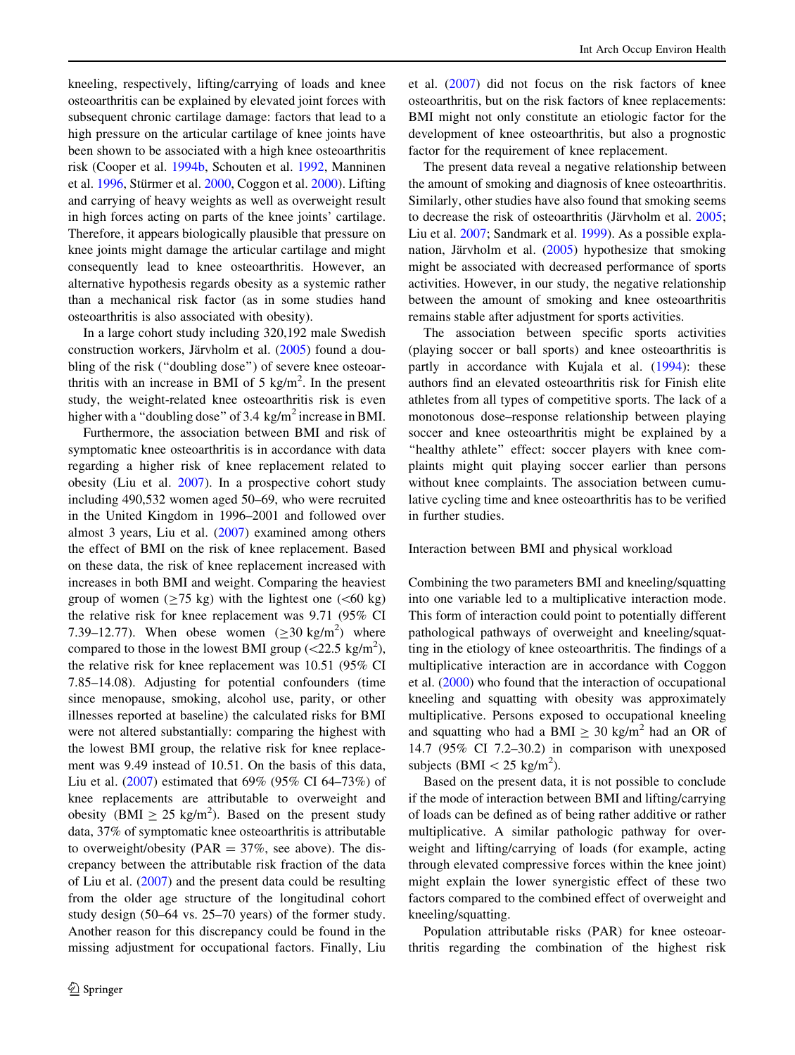kneeling, respectively, lifting/carrying of loads and knee osteoarthritis can be explained by elevated joint forces with subsequent chronic cartilage damage: factors that lead to a high pressure on the articular cartilage of knee joints have been shown to be associated with a high knee osteoarthritis risk (Cooper et al. [1994b](#page-8-0), Schouten et al. [1992,](#page-9-0) Manninen et al. [1996,](#page-8-0) Stürmer et al. [2000](#page-8-0), Coggon et al. 2000). Lifting and carrying of heavy weights as well as overweight result in high forces acting on parts of the knee joints' cartilage. Therefore, it appears biologically plausible that pressure on knee joints might damage the articular cartilage and might consequently lead to knee osteoarthritis. However, an alternative hypothesis regards obesity as a systemic rather than a mechanical risk factor (as in some studies hand osteoarthritis is also associated with obesity).

In a large cohort study including 320,192 male Swedish construction workers, Järvholm et al. ([2005\)](#page-8-0) found a doubling of the risk (''doubling dose'') of severe knee osteoarthritis with an increase in BMI of  $5 \text{ kg/m}^2$ . In the present study, the weight-related knee osteoarthritis risk is even higher with a "doubling dose" of 3.4 kg/m<sup>2</sup> increase in BMI.

Furthermore, the association between BMI and risk of symptomatic knee osteoarthritis is in accordance with data regarding a higher risk of knee replacement related to obesity (Liu et al. [2007](#page-8-0)). In a prospective cohort study including 490,532 women aged 50–69, who were recruited in the United Kingdom in 1996–2001 and followed over almost 3 years, Liu et al. [\(2007](#page-8-0)) examined among others the effect of BMI on the risk of knee replacement. Based on these data, the risk of knee replacement increased with increases in both BMI and weight. Comparing the heaviest group of women ( $\geq$ 75 kg) with the lightest one ( $\leq$ 60 kg) the relative risk for knee replacement was 9.71 (95% CI 7.39–12.77). When obese women  $(\geq 30 \text{ kg/m}^2)$  where compared to those in the lowest BMI group ( $\langle 22.5 \text{ kg/m}^2$ ), the relative risk for knee replacement was 10.51 (95% CI 7.85–14.08). Adjusting for potential confounders (time since menopause, smoking, alcohol use, parity, or other illnesses reported at baseline) the calculated risks for BMI were not altered substantially: comparing the highest with the lowest BMI group, the relative risk for knee replacement was 9.49 instead of 10.51. On the basis of this data, Liu et al. ([2007\)](#page-8-0) estimated that 69% (95% CI 64–73%) of knee replacements are attributable to overweight and obesity (BMI  $\geq 25$  kg/m<sup>2</sup>). Based on the present study data, 37% of symptomatic knee osteoarthritis is attributable to overweight/obesity (PAR  $=$  37%, see above). The discrepancy between the attributable risk fraction of the data of Liu et al. ([2007\)](#page-8-0) and the present data could be resulting from the older age structure of the longitudinal cohort study design (50–64 vs. 25–70 years) of the former study. Another reason for this discrepancy could be found in the missing adjustment for occupational factors. Finally, Liu et al. ([2007\)](#page-8-0) did not focus on the risk factors of knee osteoarthritis, but on the risk factors of knee replacements: BMI might not only constitute an etiologic factor for the development of knee osteoarthritis, but also a prognostic factor for the requirement of knee replacement.

The present data reveal a negative relationship between the amount of smoking and diagnosis of knee osteoarthritis. Similarly, other studies have also found that smoking seems to decrease the risk of osteoarthritis (Järvholm et al.  $2005$ ; Liu et al. [2007;](#page-8-0) Sandmark et al. [1999](#page-9-0)). As a possible explanation, Järvholm et al.  $(2005)$  $(2005)$  hypothesize that smoking might be associated with decreased performance of sports activities. However, in our study, the negative relationship between the amount of smoking and knee osteoarthritis remains stable after adjustment for sports activities.

The association between specific sports activities (playing soccer or ball sports) and knee osteoarthritis is partly in accordance with Kujala et al. [\(1994](#page-8-0)): these authors find an elevated osteoarthritis risk for Finish elite athletes from all types of competitive sports. The lack of a monotonous dose–response relationship between playing soccer and knee osteoarthritis might be explained by a "healthy athlete" effect: soccer players with knee complaints might quit playing soccer earlier than persons without knee complaints. The association between cumulative cycling time and knee osteoarthritis has to be verified in further studies.

#### Interaction between BMI and physical workload

Combining the two parameters BMI and kneeling/squatting into one variable led to a multiplicative interaction mode. This form of interaction could point to potentially different pathological pathways of overweight and kneeling/squatting in the etiology of knee osteoarthritis. The findings of a multiplicative interaction are in accordance with Coggon et al. ([2000\)](#page-8-0) who found that the interaction of occupational kneeling and squatting with obesity was approximately multiplicative. Persons exposed to occupational kneeling and squatting who had a BMI  $\geq 30$  kg/m<sup>2</sup> had an OR of 14.7 (95% CI 7.2–30.2) in comparison with unexposed subjects (BMI  $<$  25 kg/m<sup>2</sup>).

Based on the present data, it is not possible to conclude if the mode of interaction between BMI and lifting/carrying of loads can be defined as of being rather additive or rather multiplicative. A similar pathologic pathway for overweight and lifting/carrying of loads (for example, acting through elevated compressive forces within the knee joint) might explain the lower synergistic effect of these two factors compared to the combined effect of overweight and kneeling/squatting.

Population attributable risks (PAR) for knee osteoarthritis regarding the combination of the highest risk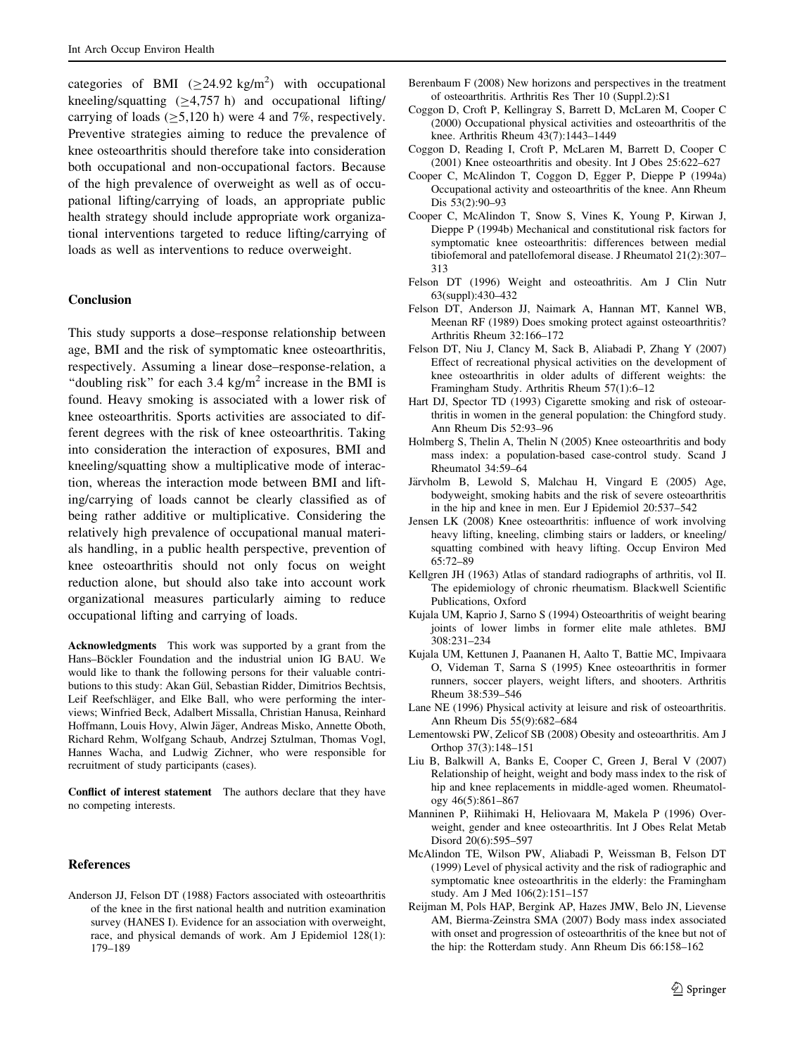<span id="page-8-0"></span>categories of BMI  $(\geq 24.92 \text{ kg/m}^2)$  with occupational kneeling/squatting  $(≥4,757 h)$  and occupational lifting/ carrying of loads  $(>5,120 \text{ h})$  were 4 and 7%, respectively. Preventive strategies aiming to reduce the prevalence of knee osteoarthritis should therefore take into consideration both occupational and non-occupational factors. Because of the high prevalence of overweight as well as of occupational lifting/carrying of loads, an appropriate public health strategy should include appropriate work organizational interventions targeted to reduce lifting/carrying of loads as well as interventions to reduce overweight.

# Conclusion

This study supports a dose–response relationship between age, BMI and the risk of symptomatic knee osteoarthritis, respectively. Assuming a linear dose–response-relation, a "doubling risk" for each 3.4 kg/m<sup>2</sup> increase in the BMI is found. Heavy smoking is associated with a lower risk of knee osteoarthritis. Sports activities are associated to different degrees with the risk of knee osteoarthritis. Taking into consideration the interaction of exposures, BMI and kneeling/squatting show a multiplicative mode of interaction, whereas the interaction mode between BMI and lifting/carrying of loads cannot be clearly classified as of being rather additive or multiplicative. Considering the relatively high prevalence of occupational manual materials handling, in a public health perspective, prevention of knee osteoarthritis should not only focus on weight reduction alone, but should also take into account work organizational measures particularly aiming to reduce occupational lifting and carrying of loads.

Acknowledgments This work was supported by a grant from the Hans–Böckler Foundation and the industrial union IG BAU. We would like to thank the following persons for their valuable contributions to this study: Akan Gül, Sebastian Ridder, Dimitrios Bechtsis, Leif Reefschläger, and Elke Ball, who were performing the interviews; Winfried Beck, Adalbert Missalla, Christian Hanusa, Reinhard Hoffmann, Louis Hovy, Alwin Jäger, Andreas Misko, Annette Oboth, Richard Rehm, Wolfgang Schaub, Andrzej Sztulman, Thomas Vogl, Hannes Wacha, and Ludwig Zichner, who were responsible for recruitment of study participants (cases).

Conflict of interest statement The authors declare that they have no competing interests.

# **References**

Anderson JJ, Felson DT (1988) Factors associated with osteoarthritis of the knee in the first national health and nutrition examination survey (HANES I). Evidence for an association with overweight, race, and physical demands of work. Am J Epidemiol 128(1): 179–189

- Berenbaum F (2008) New horizons and perspectives in the treatment of osteoarthritis. Arthritis Res Ther 10 (Suppl.2):S1
- Coggon D, Croft P, Kellingray S, Barrett D, McLaren M, Cooper C (2000) Occupational physical activities and osteoarthritis of the knee. Arthritis Rheum 43(7):1443–1449
- Coggon D, Reading I, Croft P, McLaren M, Barrett D, Cooper C (2001) Knee osteoarthritis and obesity. Int J Obes 25:622–627
- Cooper C, McAlindon T, Coggon D, Egger P, Dieppe P (1994a) Occupational activity and osteoarthritis of the knee. Ann Rheum Dis 53(2):90–93
- Cooper C, McAlindon T, Snow S, Vines K, Young P, Kirwan J, Dieppe P (1994b) Mechanical and constitutional risk factors for symptomatic knee osteoarthritis: differences between medial tibiofemoral and patellofemoral disease. J Rheumatol 21(2):307– 313
- Felson DT (1996) Weight and osteoathritis. Am J Clin Nutr 63(suppl):430–432
- Felson DT, Anderson JJ, Naimark A, Hannan MT, Kannel WB, Meenan RF (1989) Does smoking protect against osteoarthritis? Arthritis Rheum 32:166–172
- Felson DT, Niu J, Clancy M, Sack B, Aliabadi P, Zhang Y (2007) Effect of recreational physical activities on the development of knee osteoarthritis in older adults of different weights: the Framingham Study. Arthritis Rheum 57(1):6–12
- Hart DJ, Spector TD (1993) Cigarette smoking and risk of osteoarthritis in women in the general population: the Chingford study. Ann Rheum Dis 52:93–96
- Holmberg S, Thelin A, Thelin N (2005) Knee osteoarthritis and body mass index: a population-based case-control study. Scand J Rheumatol 34:59–64
- Järvholm B, Lewold S, Malchau H, Vingard E (2005) Age, bodyweight, smoking habits and the risk of severe osteoarthritis in the hip and knee in men. Eur J Epidemiol 20:537–542
- Jensen LK (2008) Knee osteoarthritis: influence of work involving heavy lifting, kneeling, climbing stairs or ladders, or kneeling/ squatting combined with heavy lifting. Occup Environ Med 65:72–89
- Kellgren JH (1963) Atlas of standard radiographs of arthritis, vol II. The epidemiology of chronic rheumatism. Blackwell Scientific Publications, Oxford
- Kujala UM, Kaprio J, Sarno S (1994) Osteoarthritis of weight bearing joints of lower limbs in former elite male athletes. BMJ 308:231–234
- Kujala UM, Kettunen J, Paananen H, Aalto T, Battie MC, Impivaara O, Videman T, Sarna S (1995) Knee osteoarthritis in former runners, soccer players, weight lifters, and shooters. Arthritis Rheum 38:539–546
- Lane NE (1996) Physical activity at leisure and risk of osteoarthritis. Ann Rheum Dis 55(9):682–684
- Lementowski PW, Zelicof SB (2008) Obesity and osteoarthritis. Am J Orthop 37(3):148–151
- Liu B, Balkwill A, Banks E, Cooper C, Green J, Beral V (2007) Relationship of height, weight and body mass index to the risk of hip and knee replacements in middle-aged women. Rheumatology 46(5):861–867
- Manninen P, Riihimaki H, Heliovaara M, Makela P (1996) Overweight, gender and knee osteoarthritis. Int J Obes Relat Metab Disord 20(6):595–597
- McAlindon TE, Wilson PW, Aliabadi P, Weissman B, Felson DT (1999) Level of physical activity and the risk of radiographic and symptomatic knee osteoarthritis in the elderly: the Framingham study. Am J Med 106(2):151–157
- Reijman M, Pols HAP, Bergink AP, Hazes JMW, Belo JN, Lievense AM, Bierma-Zeinstra SMA (2007) Body mass index associated with onset and progression of osteoarthritis of the knee but not of the hip: the Rotterdam study. Ann Rheum Dis 66:158–162